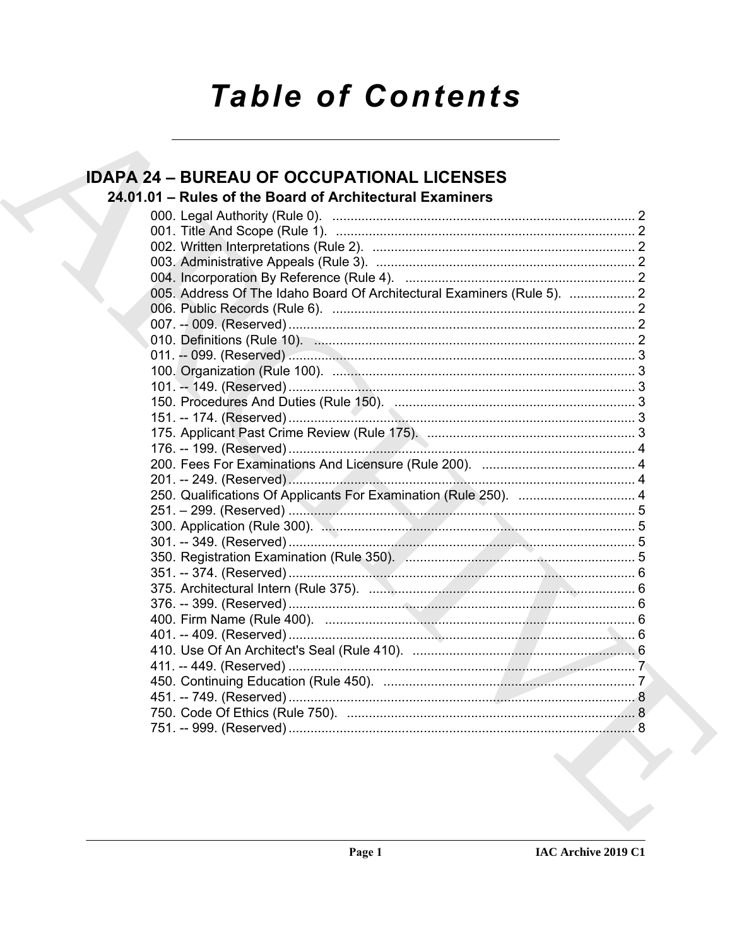# **Table of Contents**

# **IDAPA 24 - BUREAU OF OCCUPATIONAL LICENSES** 24.01.01 - Rules of the Board of Architectural Examiners 005. Address Of The Idaho Board Of Architectural Examiners (Rule 5). .................. 2 250. Qualifications Of Applicants For Examination (Rule 250). ................................ 4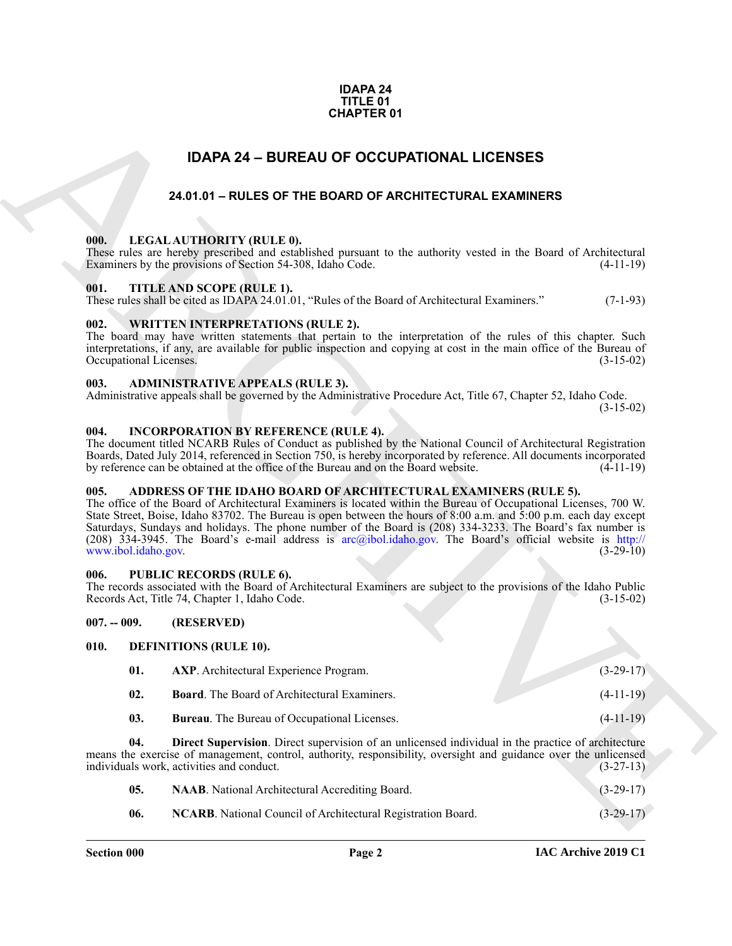### **IDAPA 24 TITLE 01 CHAPTER 01**

# **IDAPA 24 – BUREAU OF OCCUPATIONAL LICENSES**

# **24.01.01 – RULES OF THE BOARD OF ARCHITECTURAL EXAMINERS**

# <span id="page-1-21"></span><span id="page-1-2"></span><span id="page-1-1"></span><span id="page-1-0"></span>**000. LEGAL AUTHORITY (RULE 0).**

# <span id="page-1-23"></span><span id="page-1-3"></span>**001. TITLE AND SCOPE (RULE 1).**

### <span id="page-1-24"></span><span id="page-1-4"></span>**002. WRITTEN INTERPRETATIONS (RULE 2).**

### <span id="page-1-12"></span><span id="page-1-5"></span>**003. ADMINISTRATIVE APPEALS (RULE 3).**

## <span id="page-1-20"></span><span id="page-1-6"></span>**004. INCORPORATION BY REFERENCE (RULE 4).**

# <span id="page-1-11"></span><span id="page-1-7"></span>**005. ADDRESS OF THE IDAHO BOARD OF ARCHITECTURAL EXAMINERS (RULE 5).**

### <span id="page-1-22"></span><span id="page-1-8"></span>**006. PUBLIC RECORDS (RULE 6).**

### <span id="page-1-15"></span><span id="page-1-14"></span><span id="page-1-13"></span><span id="page-1-10"></span><span id="page-1-9"></span>**007. -- 009. (RESERVED)**

|                                | <b>CHAPTER 01</b>                                                                                                                                                                                                                                                                                                                                                                                                                                                                                                                       |             |
|--------------------------------|-----------------------------------------------------------------------------------------------------------------------------------------------------------------------------------------------------------------------------------------------------------------------------------------------------------------------------------------------------------------------------------------------------------------------------------------------------------------------------------------------------------------------------------------|-------------|
|                                | <b>IDAPA 24 - BUREAU OF OCCUPATIONAL LICENSES</b>                                                                                                                                                                                                                                                                                                                                                                                                                                                                                       |             |
|                                | 24.01.01 - RULES OF THE BOARD OF ARCHITECTURAL EXAMINERS                                                                                                                                                                                                                                                                                                                                                                                                                                                                                |             |
|                                |                                                                                                                                                                                                                                                                                                                                                                                                                                                                                                                                         |             |
| 000.                           | LEGAL AUTHORITY (RULE 0).<br>These rules are hereby prescribed and established pursuant to the authority vested in the Board of Architectural<br>Examiners by the provisions of Section 54-308, Idaho Code.                                                                                                                                                                                                                                                                                                                             | $(4-11-19)$ |
| 001.                           | TITLE AND SCOPE (RULE 1).<br>These rules shall be cited as IDAPA 24.01.01, "Rules of the Board of Architectural Examiners."                                                                                                                                                                                                                                                                                                                                                                                                             | $(7-1-93)$  |
| 002.<br>Occupational Licenses. | <b>WRITTEN INTERPRETATIONS (RULE 2).</b><br>The board may have written statements that pertain to the interpretation of the rules of this chapter. Such<br>interpretations, if any, are available for public inspection and copying at cost in the main office of the Bureau of                                                                                                                                                                                                                                                         | $(3-15-02)$ |
| 003.                           | <b>ADMINISTRATIVE APPEALS (RULE 3).</b><br>Administrative appeals shall be governed by the Administrative Procedure Act, Title 67, Chapter 52, Idaho Code.                                                                                                                                                                                                                                                                                                                                                                              | $(3-15-02)$ |
| 004.                           | <b>INCORPORATION BY REFERENCE (RULE 4).</b><br>The document titled NCARB Rules of Conduct as published by the National Council of Architectural Registration<br>Boards, Dated July 2014, referenced in Section 750, is hereby incorporated by reference. All documents incorporated<br>by reference can be obtained at the office of the Bureau and on the Board website.                                                                                                                                                               | $(4-11-19)$ |
| 005.<br>www.ibol.idaho.gov.    | ADDRESS OF THE IDAHO BOARD OF ARCHITECTURAL EXAMINERS (RULE 5).<br>The office of the Board of Architectural Examiners is located within the Bureau of Occupational Licenses, 700 W.<br>State Street, Boise, Idaho 83702. The Bureau is open between the hours of 8:00 a.m. and 5:00 p.m. each day except<br>Saturdays, Sundays and holidays. The phone number of the Board is (208) 334-3233. The Board's fax number is<br>(208) $334-3945$ . The Board's e-mail address is arc@ibol.idaho.gov. The Board's official website is http:// | $(3-29-10)$ |
| 006.                           | <b>PUBLIC RECORDS (RULE 6).</b><br>The records associated with the Board of Architectural Examiners are subject to the provisions of the Idaho Public<br>Records Act, Title 74, Chapter 1, Idaho Code.                                                                                                                                                                                                                                                                                                                                  | $(3-15-02)$ |
| $007. - 009.$                  | (RESERVED)                                                                                                                                                                                                                                                                                                                                                                                                                                                                                                                              |             |
| 010.                           | <b>DEFINITIONS (RULE 10).</b>                                                                                                                                                                                                                                                                                                                                                                                                                                                                                                           |             |
| 01.                            | AXP. Architectural Experience Program.                                                                                                                                                                                                                                                                                                                                                                                                                                                                                                  | $(3-29-17)$ |
| 02.                            | <b>Board.</b> The Board of Architectural Examiners.                                                                                                                                                                                                                                                                                                                                                                                                                                                                                     | $(4-11-19)$ |
| 03.                            | Bureau. The Bureau of Occupational Licenses.                                                                                                                                                                                                                                                                                                                                                                                                                                                                                            | $(4-11-19)$ |
| 04.                            | <b>Direct Supervision.</b> Direct supervision of an unlicensed individual in the practice of architecture<br>means the exercise of management, control, authority, responsibility, oversight and guidance over the unlicensed<br>individuals work, activities and conduct.                                                                                                                                                                                                                                                              | $(3-27-13)$ |
| 05.                            | NAAB. National Architectural Accrediting Board.                                                                                                                                                                                                                                                                                                                                                                                                                                                                                         | $(3-29-17)$ |
| 06.                            | NCARB. National Council of Architectural Registration Board.                                                                                                                                                                                                                                                                                                                                                                                                                                                                            | $(3-29-17)$ |
|                                |                                                                                                                                                                                                                                                                                                                                                                                                                                                                                                                                         |             |

<span id="page-1-19"></span><span id="page-1-18"></span><span id="page-1-17"></span><span id="page-1-16"></span>

| <b>NAAB.</b> National Architectural Accrediting Board.       | $(3-29-17)$ |
|--------------------------------------------------------------|-------------|
| NCARB. National Council of Architectural Registration Board. | $(3-29-17)$ |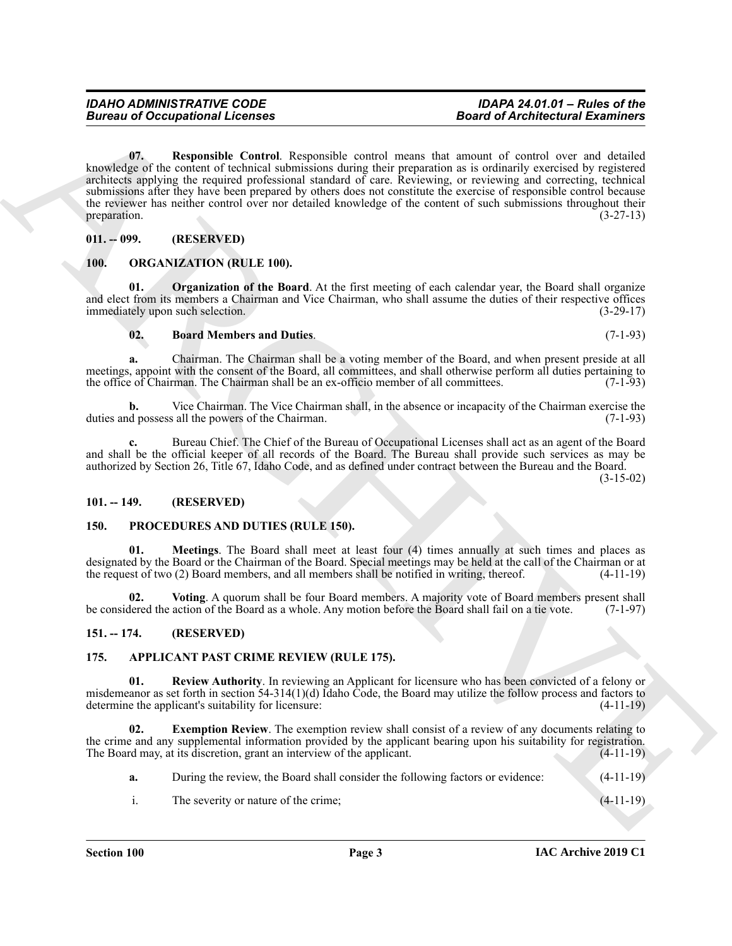**Example Consequence Consequence**<br> **Consequence Consequence**<br>
Consequence Consequence Consequence Consequence Consequence Consequence Consequence Consequence Consequence Consequence Consequence Consequence Consequence Con **07. Responsible Control**. Responsible control means that amount of control over and detailed knowledge of the content of technical submissions during their preparation as is ordinarily exercised by registered architects applying the required professional standard of care. Reviewing, or reviewing and correcting, technical submissions after they have been prepared by others does not constitute the exercise of responsible control because the reviewer has neither control over nor detailed knowledge of the content of such submissions throughout their<br>(3-27-13)<br>(3-27-13) preparation.  $(3-27-13)$ 

# <span id="page-2-9"></span><span id="page-2-0"></span>**011. -- 099. (RESERVED)**

# <span id="page-2-10"></span><span id="page-2-1"></span>**100. ORGANIZATION (RULE 100).**

**01. Organization of the Board**. At the first meeting of each calendar year, the Board shall organize and elect from its members a Chairman and Vice Chairman, who shall assume the duties of their respective offices immediately upon such selection. (3-29-17)

# <span id="page-2-12"></span><span id="page-2-11"></span>**02. Board Members and Duties**. (7-1-93)

**a.** Chairman. The Chairman shall be a voting member of the Board, and when present preside at all meetings, appoint with the consent of the Board, all committees, and shall otherwise perform all duties pertaining to the office of Chairman. The Chairman shall be an ex-officio member of all committees. (7-1-93)

**b.** Vice Chairman. The Vice Chairman shall, in the absence or incapacity of the Chairman exercise the duties and possess all the powers of the Chairman. (7-1-93)

**c.** Bureau Chief. The Chief of the Bureau of Occupational Licenses shall act as an agent of the Board and shall be the official keeper of all records of the Board. The Bureau shall provide such services as may be authorized by Section 26, Title 67, Idaho Code, and as defined under contract between the Bureau and the Board.

(3-15-02)

### <span id="page-2-2"></span>**101. -- 149. (RESERVED)**

### <span id="page-2-14"></span><span id="page-2-13"></span><span id="page-2-3"></span>**150. PROCEDURES AND DUTIES (RULE 150).**

**01. Meetings**. The Board shall meet at least four (4) times annually at such times and places as designated by the Board or the Chairman of the Board. Special meetings may be held at the call of the Chairman or at the request of two (2) Board members, and all members shall be notified in writing, thereof. (4-11-19)

<span id="page-2-15"></span>**02. Voting**. A quorum shall be four Board members. A majority vote of Board members present shall be considered the action of the Board as a whole. Any motion before the Board shall fail on a tie vote. (7-1-97)

### <span id="page-2-4"></span>**151. -- 174. (RESERVED)**

# <span id="page-2-6"></span><span id="page-2-5"></span>**175. APPLICANT PAST CRIME REVIEW (RULE 175).**

<span id="page-2-8"></span>**01. Review Authority**. In reviewing an Applicant for licensure who has been convicted of a felony or misdemeanor as set forth in section 54-314(1)(d) Idaho Code, the Board may utilize the follow process and factors to determine the applicant's suitability for licensure: (4-11-19)

**02. Exemption Review**. The exemption review shall consist of a review of any documents relating to the crime and any supplemental information provided by the applicant bearing upon his suitability for registration. The Board may, at its discretion, grant an interview of the applicant. (4-11-19)

- <span id="page-2-7"></span>**a.** During the review, the Board shall consider the following factors or evidence:  $(4-11-19)$
- i. The severity or nature of the crime; (4-11-19)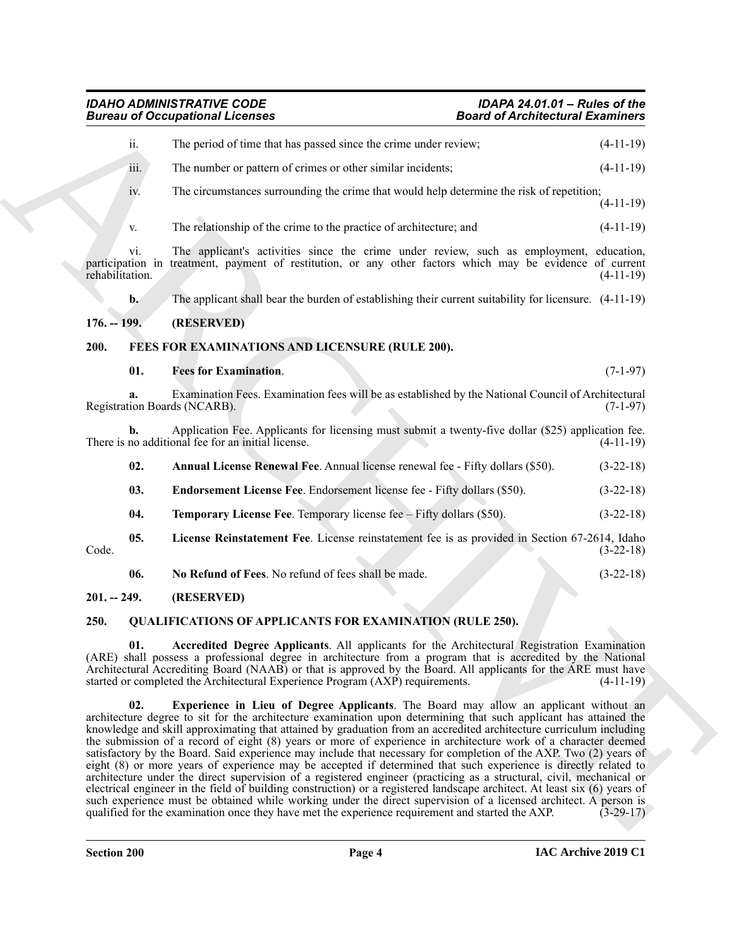# <span id="page-3-7"></span><span id="page-3-4"></span><span id="page-3-1"></span><span id="page-3-0"></span>*IDAHO ADMINISTRATIVE CODE IDAPA 24.01.01 – Rules of the* **Bureau of Occupational Licenses**

|                                                                                                                                                                                                                                                                                                                                                                                                                                    | <b>Bureau of Occupational Licenses</b> |                                                                                                                                                                                                                                                                                                                                                                                                                                                                                                                                                                                                                                                                                                                                                                                                                                                                                                                                                                                                                                                                                                                                                                        | <b>Board of Architectural Examiners</b> |             |
|------------------------------------------------------------------------------------------------------------------------------------------------------------------------------------------------------------------------------------------------------------------------------------------------------------------------------------------------------------------------------------------------------------------------------------|----------------------------------------|------------------------------------------------------------------------------------------------------------------------------------------------------------------------------------------------------------------------------------------------------------------------------------------------------------------------------------------------------------------------------------------------------------------------------------------------------------------------------------------------------------------------------------------------------------------------------------------------------------------------------------------------------------------------------------------------------------------------------------------------------------------------------------------------------------------------------------------------------------------------------------------------------------------------------------------------------------------------------------------------------------------------------------------------------------------------------------------------------------------------------------------------------------------------|-----------------------------------------|-------------|
|                                                                                                                                                                                                                                                                                                                                                                                                                                    | ii.                                    | The period of time that has passed since the crime under review;                                                                                                                                                                                                                                                                                                                                                                                                                                                                                                                                                                                                                                                                                                                                                                                                                                                                                                                                                                                                                                                                                                       |                                         | $(4-11-19)$ |
|                                                                                                                                                                                                                                                                                                                                                                                                                                    | iii.                                   | The number or pattern of crimes or other similar incidents;                                                                                                                                                                                                                                                                                                                                                                                                                                                                                                                                                                                                                                                                                                                                                                                                                                                                                                                                                                                                                                                                                                            |                                         | $(4-11-19)$ |
|                                                                                                                                                                                                                                                                                                                                                                                                                                    | iv.                                    | The circumstances surrounding the crime that would help determine the risk of repetition;                                                                                                                                                                                                                                                                                                                                                                                                                                                                                                                                                                                                                                                                                                                                                                                                                                                                                                                                                                                                                                                                              |                                         | $(4-11-19)$ |
|                                                                                                                                                                                                                                                                                                                                                                                                                                    | V.                                     | The relationship of the crime to the practice of architecture; and                                                                                                                                                                                                                                                                                                                                                                                                                                                                                                                                                                                                                                                                                                                                                                                                                                                                                                                                                                                                                                                                                                     |                                         | $(4-11-19)$ |
|                                                                                                                                                                                                                                                                                                                                                                                                                                    | vi.<br>rehabilitation.                 | The applicant's activities since the crime under review, such as employment, education,<br>participation in treatment, payment of restitution, or any other factors which may be evidence of current                                                                                                                                                                                                                                                                                                                                                                                                                                                                                                                                                                                                                                                                                                                                                                                                                                                                                                                                                                   |                                         | $(4-11-19)$ |
|                                                                                                                                                                                                                                                                                                                                                                                                                                    | $\mathbf{b}$ .                         | The applicant shall bear the burden of establishing their current suitability for licensure. $(4-11-19)$                                                                                                                                                                                                                                                                                                                                                                                                                                                                                                                                                                                                                                                                                                                                                                                                                                                                                                                                                                                                                                                               |                                         |             |
| $176. - 199.$                                                                                                                                                                                                                                                                                                                                                                                                                      |                                        | (RESERVED)                                                                                                                                                                                                                                                                                                                                                                                                                                                                                                                                                                                                                                                                                                                                                                                                                                                                                                                                                                                                                                                                                                                                                             |                                         |             |
| 200.<br>FEES FOR EXAMINATIONS AND LICENSURE (RULE 200).                                                                                                                                                                                                                                                                                                                                                                            |                                        |                                                                                                                                                                                                                                                                                                                                                                                                                                                                                                                                                                                                                                                                                                                                                                                                                                                                                                                                                                                                                                                                                                                                                                        |                                         |             |
|                                                                                                                                                                                                                                                                                                                                                                                                                                    | 01.                                    | <b>Fees for Examination.</b>                                                                                                                                                                                                                                                                                                                                                                                                                                                                                                                                                                                                                                                                                                                                                                                                                                                                                                                                                                                                                                                                                                                                           |                                         | $(7-1-97)$  |
|                                                                                                                                                                                                                                                                                                                                                                                                                                    |                                        | Examination Fees. Examination fees will be as established by the National Council of Architectural<br>Registration Boards (NCARB).                                                                                                                                                                                                                                                                                                                                                                                                                                                                                                                                                                                                                                                                                                                                                                                                                                                                                                                                                                                                                                     |                                         | $(7-1-97)$  |
|                                                                                                                                                                                                                                                                                                                                                                                                                                    | b.                                     | Application Fee. Applicants for licensing must submit a twenty-five dollar (\$25) application fee.<br>There is no additional fee for an initial license.                                                                                                                                                                                                                                                                                                                                                                                                                                                                                                                                                                                                                                                                                                                                                                                                                                                                                                                                                                                                               |                                         | $(4-11-19)$ |
|                                                                                                                                                                                                                                                                                                                                                                                                                                    | 02.                                    | Annual License Renewal Fee. Annual license renewal fee - Fifty dollars (\$50).                                                                                                                                                                                                                                                                                                                                                                                                                                                                                                                                                                                                                                                                                                                                                                                                                                                                                                                                                                                                                                                                                         |                                         | $(3-22-18)$ |
|                                                                                                                                                                                                                                                                                                                                                                                                                                    | 03.                                    | Endorsement License Fee. Endorsement license fee - Fifty dollars (\$50).                                                                                                                                                                                                                                                                                                                                                                                                                                                                                                                                                                                                                                                                                                                                                                                                                                                                                                                                                                                                                                                                                               |                                         | $(3-22-18)$ |
|                                                                                                                                                                                                                                                                                                                                                                                                                                    | 04.                                    | Temporary License Fee. Temporary license fee - Fifty dollars (\$50).                                                                                                                                                                                                                                                                                                                                                                                                                                                                                                                                                                                                                                                                                                                                                                                                                                                                                                                                                                                                                                                                                                   |                                         | $(3-22-18)$ |
| Code.                                                                                                                                                                                                                                                                                                                                                                                                                              | 05.                                    | License Reinstatement Fee. License reinstatement fee is as provided in Section 67-2614, Idaho                                                                                                                                                                                                                                                                                                                                                                                                                                                                                                                                                                                                                                                                                                                                                                                                                                                                                                                                                                                                                                                                          |                                         | $(3-22-18)$ |
|                                                                                                                                                                                                                                                                                                                                                                                                                                    | 06.                                    | No Refund of Fees. No refund of fees shall be made.                                                                                                                                                                                                                                                                                                                                                                                                                                                                                                                                                                                                                                                                                                                                                                                                                                                                                                                                                                                                                                                                                                                    |                                         | $(3-22-18)$ |
| $201. - 249.$                                                                                                                                                                                                                                                                                                                                                                                                                      |                                        | (RESERVED)                                                                                                                                                                                                                                                                                                                                                                                                                                                                                                                                                                                                                                                                                                                                                                                                                                                                                                                                                                                                                                                                                                                                                             |                                         |             |
| <b>QUALIFICATIONS OF APPLICANTS FOR EXAMINATION (RULE 250).</b><br>250.                                                                                                                                                                                                                                                                                                                                                            |                                        |                                                                                                                                                                                                                                                                                                                                                                                                                                                                                                                                                                                                                                                                                                                                                                                                                                                                                                                                                                                                                                                                                                                                                                        |                                         |             |
| Accredited Degree Applicants. All applicants for the Architectural Registration Examination<br>01.<br>(ARE) shall possess a professional degree in architecture from a program that is accredited by the National<br>Architectural Accrediting Board (NAAB) or that is approved by the Board. All applicants for the ARE must have<br>started or completed the Architectural Experience Program (AXP) requirements.<br>$(4-11-19)$ |                                        |                                                                                                                                                                                                                                                                                                                                                                                                                                                                                                                                                                                                                                                                                                                                                                                                                                                                                                                                                                                                                                                                                                                                                                        |                                         |             |
|                                                                                                                                                                                                                                                                                                                                                                                                                                    | 02.                                    | Experience in Lieu of Degree Applicants. The Board may allow an applicant without an<br>architecture degree to sit for the architecture examination upon determining that such applicant has attained the<br>knowledge and skill approximating that attained by graduation from an accredited architecture curriculum including<br>the submission of a record of eight (8) years or more of experience in architecture work of a character deemed<br>satisfactory by the Board. Said experience may include that necessary for completion of the AXP. Two (2) years of<br>eight (8) or more years of experience may be accepted if determined that such experience is directly related to<br>architecture under the direct supervision of a registered engineer (practicing as a structural, civil, mechanical or<br>electrical engineer in the field of building construction) or a registered landscape architect. At least six (6) years of<br>such experience must be obtained while working under the direct supervision of a licensed architect. A person is<br>qualified for the examination once they have met the experience requirement and started the AXP. |                                         | $(3-29-17)$ |

# <span id="page-3-13"></span><span id="page-3-12"></span><span id="page-3-11"></span><span id="page-3-10"></span><span id="page-3-9"></span><span id="page-3-8"></span><span id="page-3-6"></span><span id="page-3-5"></span><span id="page-3-3"></span><span id="page-3-2"></span>**250. QUALIFICATIONS OF APPLICANTS FOR EXAMINATION (RULE 250).**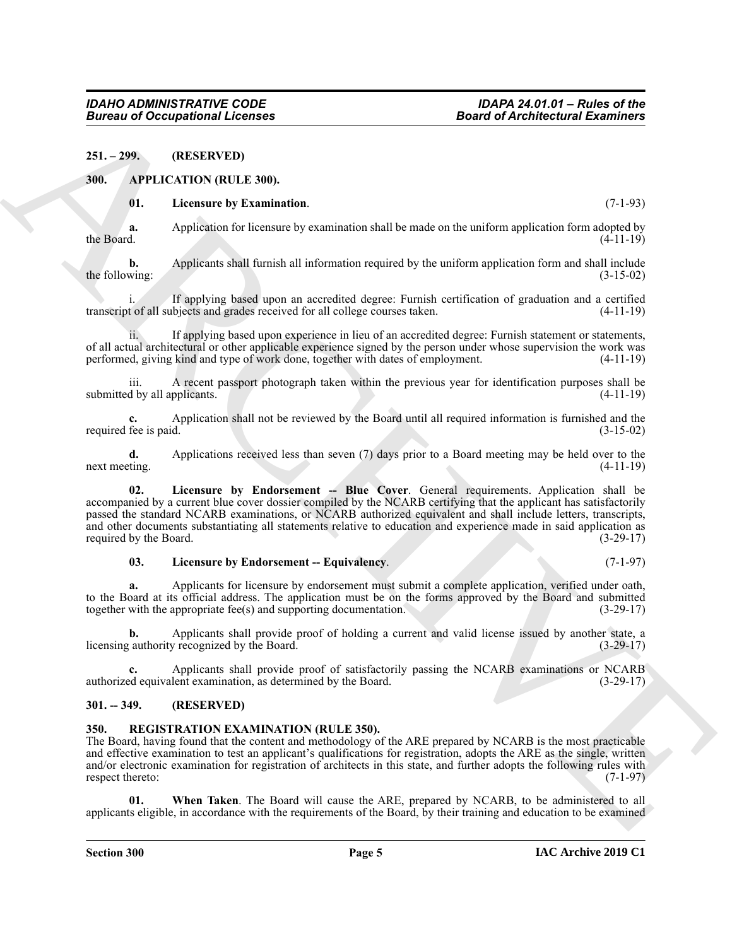### <span id="page-4-0"></span>**251. – 299. (RESERVED)**

### <span id="page-4-1"></span>**300. APPLICATION (RULE 300).**

### <span id="page-4-7"></span><span id="page-4-4"></span>**01. Licensure by Examination**. (7-1-93)

**a.** Application for licensure by examination shall be made on the uniform application form adopted by the Board.  $(4-11-19)$ 

**b.** Applicants shall furnish all information required by the uniform application form and shall include the following:  $(3-15-02)$ 

If applying based upon an accredited degree: Furnish certification of graduation and a certified transcript of all subjects and grades received for all college courses taken. (4-11-19)

ii. If applying based upon experience in lieu of an accredited degree: Furnish statement or statements, of all actual architectural or other applicable experience signed by the person under whose supervision the work was performed, giving kind and type of work done, together with dates of employment. (4-11-19)

iii. A recent passport photograph taken within the previous year for identification purposes shall be submitted by all applicants.

**c.** Application shall not be reviewed by the Board until all required information is furnished and the required fee is paid. (3-15-02)

<span id="page-4-5"></span>**d.** Applications received less than seven (7) days prior to a Board meeting may be held over to the next meeting. (4-11-19)

**Example 20**<br> **Example 20**<br> **Example 20**<br> **Example 20**<br> **Example 20**<br> **Example 20**<br> **ARCHIVE CONTINUMED (ELLE BUSIN.<br>
<b>ARCHIVE CONTINUMED (ELLE BUSIN.**<br> **ARCHIVE CONTINUMED ARCHIVE CONTINUMED AND EXAMPLE CONTINUES CONTINU 02. Licensure by Endorsement -- Blue Cover**. General requirements. Application shall be accompanied by a current blue cover dossier compiled by the NCARB certifying that the applicant has satisfactorily passed the standard NCARB examinations, or NCARB authorized equivalent and shall include letters, transcripts, and other documents substantiating all statements relative to education and experience made in said application as required by the Board. (3-29-17)

### <span id="page-4-6"></span>**03. Licensure by Endorsement -- Equivalency**. (7-1-97)

**a.** Applicants for licensure by endorsement must submit a complete application, verified under oath, to the Board at its official address. The application must be on the forms approved by the Board and submitted together with the appropriate fee(s) and supporting documentation. (3-29-17) together with the appropriate fee(s) and supporting documentation.

**b.** Applicants shall provide proof of holding a current and valid license issued by another state, a cauthority recognized by the Board. (3-29-17) licensing authority recognized by the Board.

Applicants shall provide proof of satisfactorily passing the NCARB examinations or NCARB lent examination, as determined by the Board. (3-29-17) authorized equivalent examination, as determined by the Board.

### <span id="page-4-2"></span>**301. -- 349. (RESERVED)**

# <span id="page-4-8"></span><span id="page-4-3"></span>**350. REGISTRATION EXAMINATION (RULE 350).**

The Board, having found that the content and methodology of the ARE prepared by NCARB is the most practicable and effective examination to test an applicant's qualifications for registration, adopts the ARE as the single, written and/or electronic examination for registration of architects in this state, and further adopts the following rules with respect thereto: (7-1-97)

<span id="page-4-9"></span>**01. When Taken**. The Board will cause the ARE, prepared by NCARB, to be administered to all applicants eligible, in accordance with the requirements of the Board, by their training and education to be examined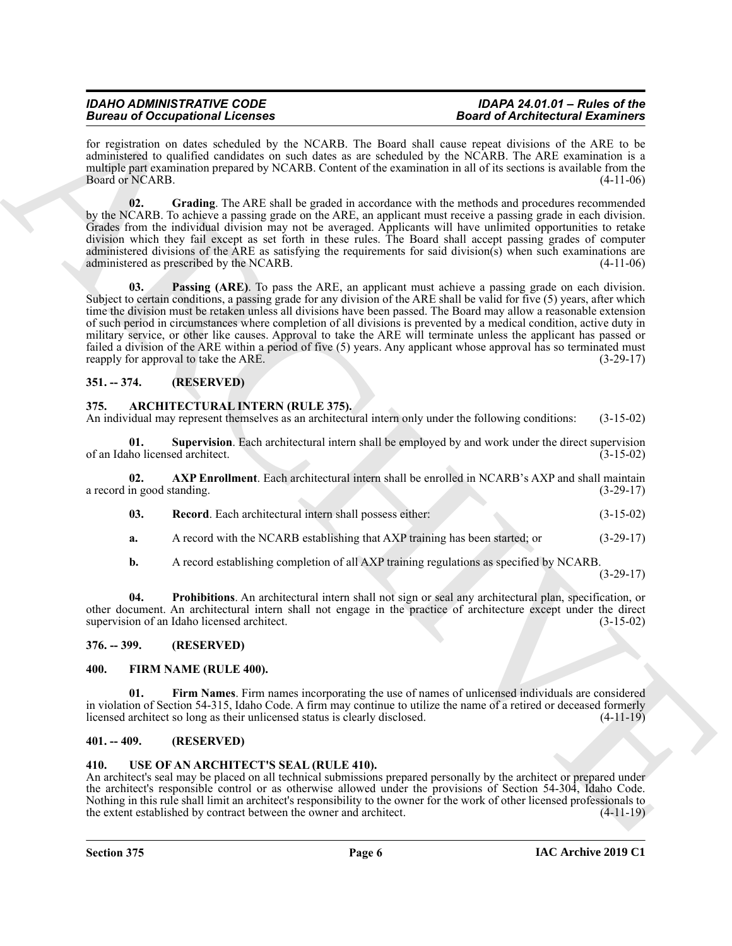# *IDAHO ADMINISTRATIVE CODE IDAPA 24.01.01 – Rules of the Bureau of Occupational Licenses*

for registration on dates scheduled by the NCARB. The Board shall cause repeat divisions of the ARE to be administered to qualified candidates on such dates as are scheduled by the NCARB. The ARE examination is a multiple part examination prepared by NCARB. Content of the examination in all of its sections is available from the Board or NCARB. (4-11-06)

<span id="page-5-14"></span><span id="page-5-13"></span>**02. Grading**. The ARE shall be graded in accordance with the methods and procedures recommended by the NCARB. To achieve a passing grade on the ARE, an applicant must receive a passing grade in each division. Grades from the individual division may not be averaged. Applicants will have unlimited opportunities to retake division which they fail except as set forth in these rules. The Board shall accept passing grades of computer administered divisions of the ARE as satisfying the requirements for said division(s) when such examinations are administered as prescribed by the NCARB. (4-11-06)

**Example 20** Comparison in Lemma and the New York 21 and the New York 21 and the New York 21 and the New York 21 and the New York 21 and the New York 21 and the New York 21 and the New York 21 and the New York 21 and the **03. Passing (ARE)**. To pass the ARE, an applicant must achieve a passing grade on each division. Subject to certain conditions, a passing grade for any division of the ARE shall be valid for five (5) years, after which time the division must be retaken unless all divisions have been passed. The Board may allow a reasonable extension of such period in circumstances where completion of all divisions is prevented by a medical condition, active duty in military service, or other like causes. Approval to take the ARE will terminate unless the applicant has passed or failed a division of the ARE within a period of five (5) years. Any applicant whose approval has so terminated must reapply for approval to take the ARE. (3-29-17)

# <span id="page-5-0"></span>**351. -- 374. (RESERVED)**

# <span id="page-5-6"></span><span id="page-5-1"></span>**375. ARCHITECTURAL INTERN (RULE 375).**

An individual may represent themselves as an architectural intern only under the following conditions: (3-15-02)

<span id="page-5-10"></span>**01. Supervision**. Each architectural intern shall be employed by and work under the direct supervision of an Idaho licensed architect. (3-15-02)

**02. AXP Enrollment**. Each architectural intern shall be enrolled in NCARB's AXP and shall maintain a record in good standing. (3-29-17)

- <span id="page-5-9"></span><span id="page-5-7"></span>**03. Record**. Each architectural intern shall possess either: (3-15-02)
- **a.** A record with the NCARB establishing that AXP training has been started; or  $(3-29-17)$
- <span id="page-5-8"></span>**b.** A record establishing completion of all AXP training regulations as specified by NCARB.

(3-29-17)

**04. Prohibitions**. An architectural intern shall not sign or seal any architectural plan, specification, or other document. An architectural intern shall not engage in the practice of architecture except under the direct supervision of an Idaho licensed architect.  $(3-15-02)$ 

<span id="page-5-2"></span>**376. -- 399. (RESERVED)**

# <span id="page-5-12"></span><span id="page-5-11"></span><span id="page-5-3"></span>**400. FIRM NAME (RULE 400).**

**01. Firm Names**. Firm names incorporating the use of names of unlicensed individuals are considered in violation of Section 54-315, Idaho Code. A firm may continue to utilize the name of a retired or deceased formerly licensed architect so long as their unlicensed status is clearly disclosed. (4-11-19) licensed architect so long as their unlicensed status is clearly disclosed.

# <span id="page-5-4"></span>**401. -- 409. (RESERVED)**

# <span id="page-5-15"></span><span id="page-5-5"></span>**410. USE OF AN ARCHITECT'S SEAL (RULE 410).**

An architect's seal may be placed on all technical submissions prepared personally by the architect or prepared under the architect's responsible control or as otherwise allowed under the provisions of Section 54-304, Idaho Code. Nothing in this rule shall limit an architect's responsibility to the owner for the work of other licensed professionals to the extent established by contract between the owner and architect. (4-11-19)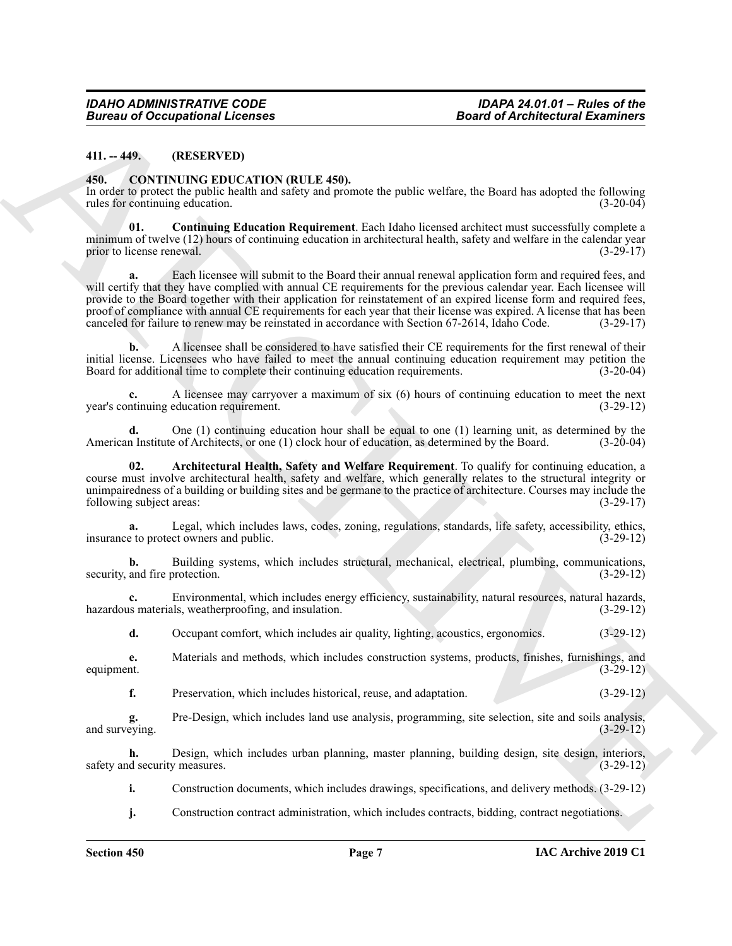## <span id="page-6-0"></span>**411. -- 449. (RESERVED)**

### <span id="page-6-2"></span><span id="page-6-1"></span>**450. CONTINUING EDUCATION (RULE 450).**

In order to protect the public health and safety and promote the public welfare, the Board has adopted the following rules for continuing education. (3-20-04)

<span id="page-6-4"></span>**01. Continuing Education Requirement**. Each Idaho licensed architect must successfully complete a minimum of twelve (12) hours of continuing education in architectural health, safety and welfare in the calendar year<br>(3-29-17) (3-29-17) prior to license renewal.

**Example 20** Compational Licenses<br>
41.1. (OXYENUES EDIC CATERO ABULE ESD).<br>
41. (OXYENUES EDIC CATERO ABULE ESD).<br>
41. (OXYENUES EDIC CATERO ABULE ESD).<br>
42. (COVIENUES EDIC CATERO ABULE ESD).<br>
42. (COVIENTING PROCESSION **a.** Each licensee will submit to the Board their annual renewal application form and required fees, and will certify that they have complied with annual CE requirements for the previous calendar year. Each licensee will provide to the Board together with their application for reinstatement of an expired license form and required fees, proof of compliance with annual CE requirements for each year that their license was expired. A license that has been canceled for failure to renew may be reinstated in accordance with Section 67-2614, Idaho Code. (3-29-17)

**b.** A licensee shall be considered to have satisfied their CE requirements for the first renewal of their initial license. Licensees who have failed to meet the annual continuing education requirement may petition the Board for additional time to complete their continuing education requirements. (3-20-04)

**c.** A licensee may carryover a maximum of six (6) hours of continuing education to meet the next ntinuing education requirement. (3-29-12) year's continuing education requirement.

**d.** One (1) continuing education hour shall be equal to one (1) learning unit, as determined by the hoard. (3-20-04) n Institute of Architects, or one (1) clock hour of education, as determined by the Board. (3-20-04) American Institute of Architects, or one (1) clock hour of education, as determined by the Board.

<span id="page-6-3"></span>**02. Architectural Health, Safety and Welfare Requirement**. To qualify for continuing education, a course must involve architectural health, safety and welfare, which generally relates to the structural integrity or unimpairedness of a building or building sites and be germane to the practice of architecture. Courses may include the following subject areas: (3-29-17) following subject areas:

**a.** Legal, which includes laws, codes, zoning, regulations, standards, life safety, accessibility, ethics, insurance to protect owners and public. (3-29-12)

**b.** Building systems, which includes structural, mechanical, electrical, plumbing, communications, and fire protection. (3-29-12) security, and fire protection.

**c.** Environmental, which includes energy efficiency, sustainability, natural resources, natural hazards, is materials, weatherproofing, and insulation. (3-29-12) hazardous materials, weatherproofing, and insulation.

**d.** Occupant comfort, which includes air quality, lighting, acoustics, ergonomics. (3-29-12)

**e.** Materials and methods, which includes construction systems, products, finishes, furnishings, and equipment. (3-29-12)

**f.** Preservation, which includes historical, reuse, and adaptation. (3-29-12)

**g.** Pre-Design, which includes land use analysis, programming, site selection, site and soils analysis, and surveying.

**h.** Design, which includes urban planning, master planning, building design, site design, interiors, safety and security measures. (3-29-12)

**i.** Construction documents, which includes drawings, specifications, and delivery methods.  $(3-29-12)$ 

**j.** Construction contract administration, which includes contracts, bidding, contract negotiations.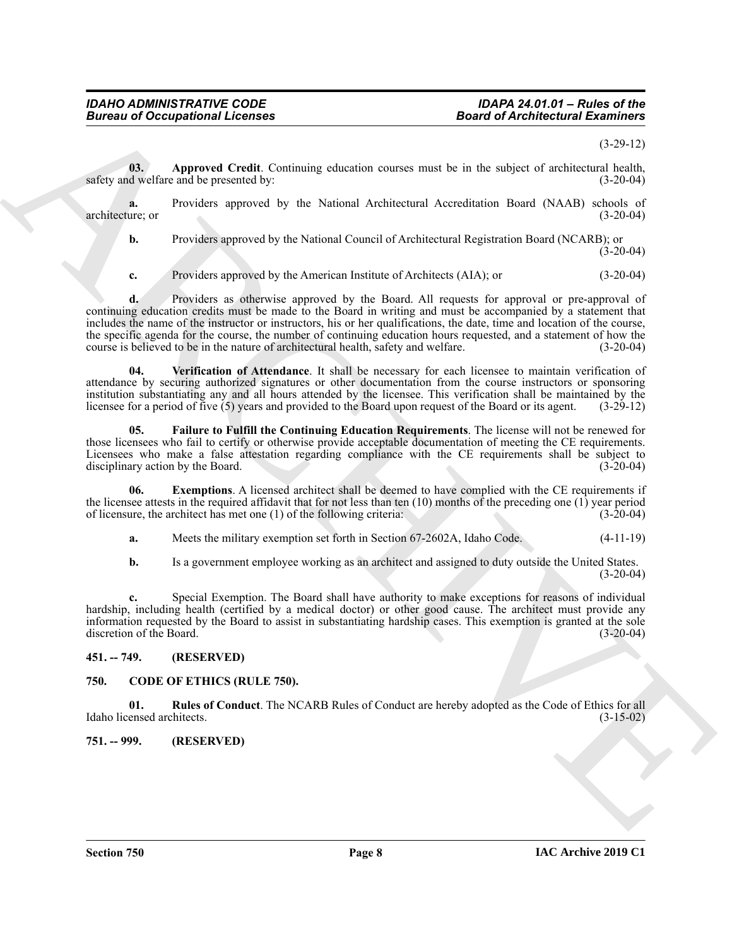# *IDAHO ADMINISTRATIVE CODE IDAPA 24.01.01 – Rules of the Bureau of Occupational Licenses*

### (3-29-12)

<span id="page-7-5"></span>**03. Approved Credit**. Continuing education courses must be in the subject of architectural health, safety and welfare and be presented by: (3-20-04)

**a.** Providers approved by the National Architectural Accreditation Board (NAAB) schools of ure; or (3-20-04) architecture; or

**b.** Providers approved by the National Council of Architectural Registration Board (NCARB); or  $(3-20-04)$ 

**c.** Providers approved by the American Institute of Architects (AIA); or (3-20-04)

**Example of Activities and Architectural Control Control Control Control Control Control Control Control Control Control Control Control Control Control Control Control Control Control Control Control Control Control Cont d.** Providers as otherwise approved by the Board. All requests for approval or pre-approval of continuing education credits must be made to the Board in writing and must be accompanied by a statement that includes the name of the instructor or instructors, his or her qualifications, the date, time and location of the course, the specific agenda for the course, the number of continuing education hours requested, and a statement of how the course is believed to be in the nature of architectural health, safety and welfare. (3-20-04)

<span id="page-7-8"></span>Verification of Attendance. It shall be necessary for each licensee to maintain verification of attendance by securing authorized signatures or other documentation from the course instructors or sponsoring institution substantiating any and all hours attended by the licensee. This verification shall be maintained by the licensee for a period of five (5) years and provided to the Board upon request of the Board or its agent. licensee for a period of five  $(5)$  years and provided to the Board upon request of the Board or its agent.

<span id="page-7-7"></span>**05. Failure to Fulfill the Continuing Education Requirements**. The license will not be renewed for those licensees who fail to certify or otherwise provide acceptable documentation of meeting the CE requirements. Licensees who make a false attestation regarding compliance with the CE requirements shall be subject to disciplinary action by the Board. (3-20-04) disciplinary action by the Board.

**06.** Exemptions. A licensed architect shall be deemed to have complied with the CE requirements if the licensee attests in the required affidavit that for not less than ten  $(10)$  months of the preceding one  $(1)$  year period of licensure, the architect has met one  $(1)$  of the following criteria:  $(3\n-20-04)$ of licensure, the architect has met one  $(1)$  of the following criteria:

<span id="page-7-6"></span>**a.** Meets the military exemption set forth in Section 67-2602A, Idaho Code. (4-11-19)

**b.** Is a government employee working as an architect and assigned to duty outside the United States.  $(3-20-04)$ 

**c.** Special Exemption. The Board shall have authority to make exceptions for reasons of individual hardship, including health (certified by a medical doctor) or other good cause. The architect must provide any information requested by the Board to assist in substantiating hardship cases. This exemption is granted at the sole discretion of the Board. (3-20-04)

# <span id="page-7-0"></span>**451. -- 749. (RESERVED)**

### <span id="page-7-4"></span><span id="page-7-3"></span><span id="page-7-1"></span>**750. CODE OF ETHICS (RULE 750).**

**01. Rules of Conduct**. The NCARB Rules of Conduct are hereby adopted as the Code of Ethics for all Idaho licensed architects. (3-15-02)

<span id="page-7-2"></span>**751. -- 999. (RESERVED)**